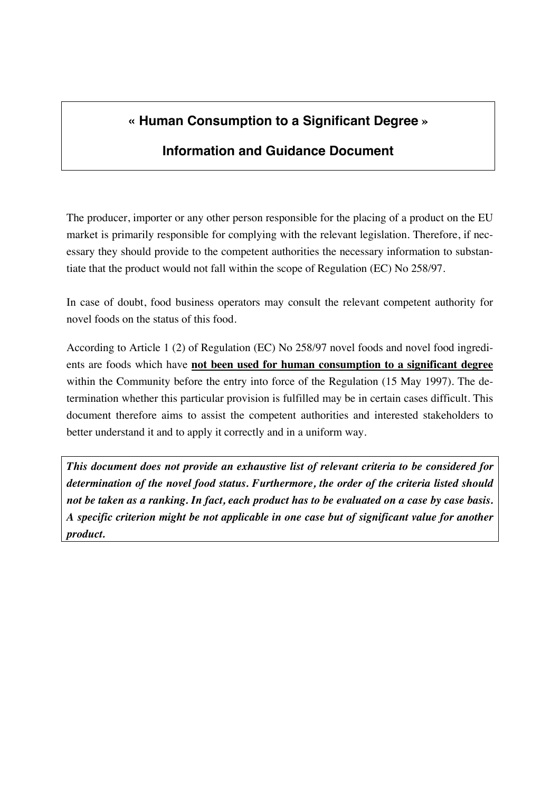## **« Human Consumption to a Significant Degree »**

### **Information and Guidance Document**

The producer, importer or any other person responsible for the placing of a product on the EU market is primarily responsible for complying with the relevant legislation. Therefore, if necessary they should provide to the competent authorities the necessary information to substantiate that the product would not fall within the scope of Regulation (EC) No 258/97.

In case of doubt, food business operators may consult the relevant competent authority for novel foods on the status of this food.

According to Article 1 (2) of Regulation (EC) No 258/97 novel foods and novel food ingredients are foods which have **not been used for human consumption to a significant degree** within the Community before the entry into force of the Regulation (15 May 1997). The determination whether this particular provision is fulfilled may be in certain cases difficult. This document therefore aims to assist the competent authorities and interested stakeholders to better understand it and to apply it correctly and in a uniform way.

*This document does not provide an exhaustive list of relevant criteria to be considered for determination of the novel food status. Furthermore, the order of the criteria listed should not be taken as a ranking. In fact, each product has to be evaluated on a case by case basis. A specific criterion might be not applicable in one case but of significant value for another product.*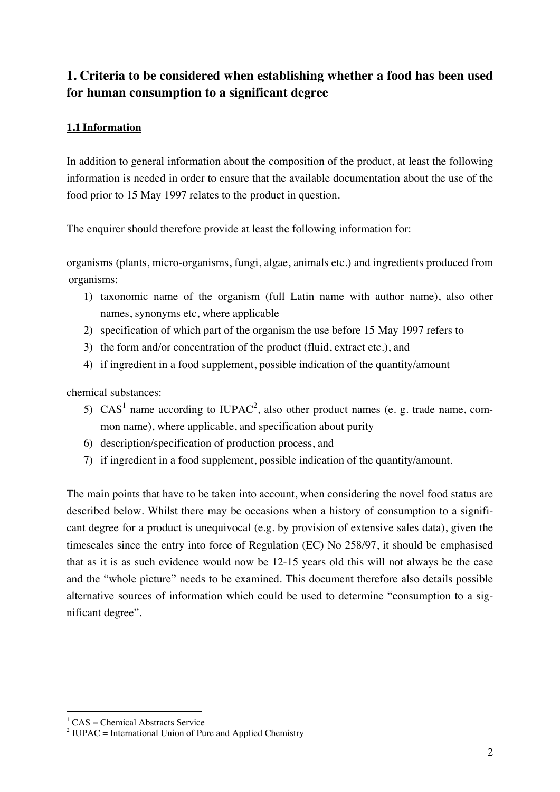### **1. Criteria to be considered when establishing whether a food has been used for human consumption to a significant degree**

#### **1.1 Information**

In addition to general information about the composition of the product, at least the following information is needed in order to ensure that the available documentation about the use of the food prior to 15 May 1997 relates to the product in question.

The enquirer should therefore provide at least the following information for:

organisms (plants, micro-organisms, fungi, algae, animals etc.) and ingredients produced from organisms:

- 1) taxonomic name of the organism (full Latin name with author name), also other names, synonyms etc, where applicable
- 2) specification of which part of the organism the use before 15 May 1997 refers to
- 3) the form and/or concentration of the product (fluid, extract etc.), and
- 4) if ingredient in a food supplement, possible indication of the quantity/amount

chemical substances:

- 5) CAS<sup>1</sup> name according to IUPAC<sup>2</sup>, also other product names (e. g. trade name, common name), where applicable, and specification about purity
- 6) description/specification of production process, and
- 7) if ingredient in a food supplement, possible indication of the quantity/amount.

The main points that have to be taken into account, when considering the novel food status are described below. Whilst there may be occasions when a history of consumption to a significant degree for a product is unequivocal (e.g. by provision of extensive sales data), given the timescales since the entry into force of Regulation (EC) No 258/97, it should be emphasised that as it is as such evidence would now be 12-15 years old this will not always be the case and the "whole picture" needs to be examined. This document therefore also details possible alternative sources of information which could be used to determine "consumption to a significant degree".

<sup>&</sup>lt;sup>1</sup> CAS = Chemical Abstracts Service

<sup>&</sup>lt;sup>2</sup> IUPAC = International Union of Pure and Applied Chemistry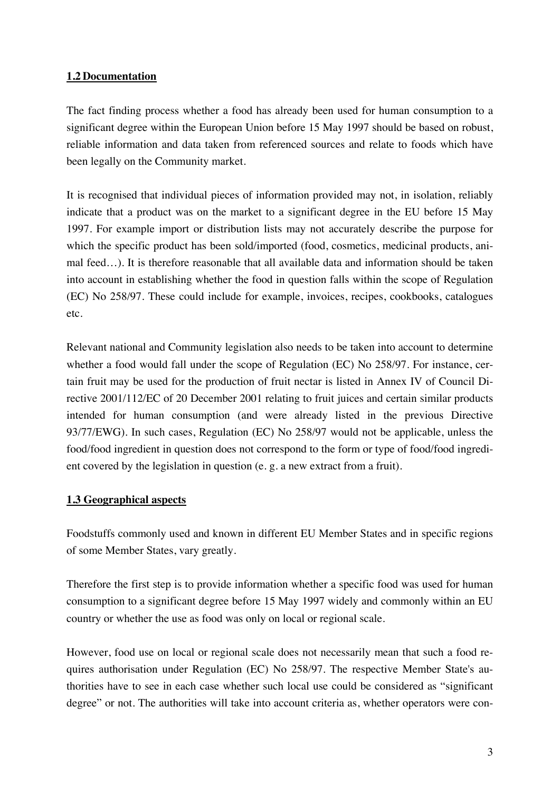#### **1.2 Documentation**

The fact finding process whether a food has already been used for human consumption to a significant degree within the European Union before 15 May 1997 should be based on robust, reliable information and data taken from referenced sources and relate to foods which have been legally on the Community market.

It is recognised that individual pieces of information provided may not, in isolation, reliably indicate that a product was on the market to a significant degree in the EU before 15 May 1997. For example import or distribution lists may not accurately describe the purpose for which the specific product has been sold/imported (food, cosmetics, medicinal products, animal feed…). It is therefore reasonable that all available data and information should be taken into account in establishing whether the food in question falls within the scope of Regulation (EC) No 258/97. These could include for example, invoices, recipes, cookbooks, catalogues etc.

Relevant national and Community legislation also needs to be taken into account to determine whether a food would fall under the scope of Regulation (EC) No 258/97. For instance, certain fruit may be used for the production of fruit nectar is listed in Annex IV of Council Directive 2001/112/EC of 20 December 2001 relating to fruit juices and certain similar products intended for human consumption (and were already listed in the previous Directive 93/77/EWG). In such cases, Regulation (EC) No 258/97 would not be applicable, unless the food/food ingredient in question does not correspond to the form or type of food/food ingredient covered by the legislation in question (e. g. a new extract from a fruit).

#### **1.3 Geographical aspects**

Foodstuffs commonly used and known in different EU Member States and in specific regions of some Member States, vary greatly.

Therefore the first step is to provide information whether a specific food was used for human consumption to a significant degree before 15 May 1997 widely and commonly within an EU country or whether the use as food was only on local or regional scale.

However, food use on local or regional scale does not necessarily mean that such a food requires authorisation under Regulation (EC) No 258/97. The respective Member State's authorities have to see in each case whether such local use could be considered as "significant degree" or not. The authorities will take into account criteria as, whether operators were con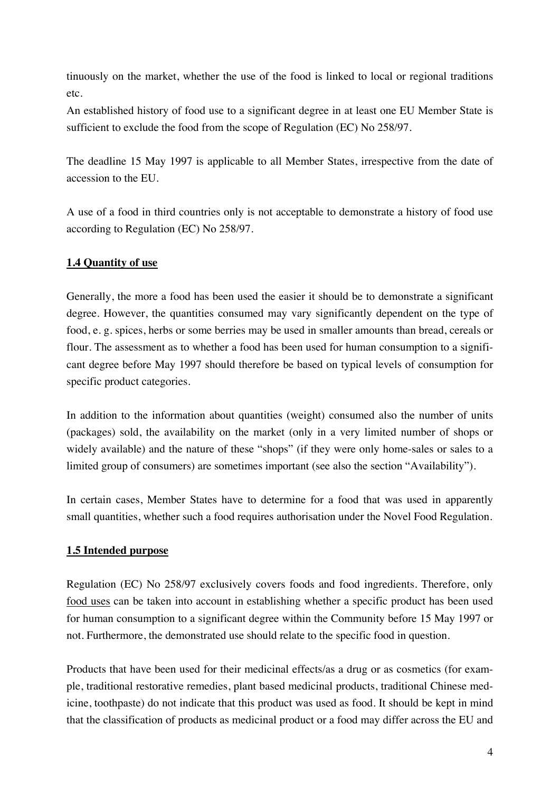tinuously on the market, whether the use of the food is linked to local or regional traditions etc.

An established history of food use to a significant degree in at least one EU Member State is sufficient to exclude the food from the scope of Regulation (EC) No 258/97.

The deadline 15 May 1997 is applicable to all Member States, irrespective from the date of accession to the EU.

A use of a food in third countries only is not acceptable to demonstrate a history of food use according to Regulation (EC) No 258/97.

#### **1.4 Quantity of use**

Generally, the more a food has been used the easier it should be to demonstrate a significant degree. However, the quantities consumed may vary significantly dependent on the type of food, e. g. spices, herbs or some berries may be used in smaller amounts than bread, cereals or flour. The assessment as to whether a food has been used for human consumption to a significant degree before May 1997 should therefore be based on typical levels of consumption for specific product categories.

In addition to the information about quantities (weight) consumed also the number of units (packages) sold, the availability on the market (only in a very limited number of shops or widely available) and the nature of these "shops" (if they were only home-sales or sales to a limited group of consumers) are sometimes important (see also the section "Availability").

In certain cases, Member States have to determine for a food that was used in apparently small quantities, whether such a food requires authorisation under the Novel Food Regulation.

#### **1.5 Intended purpose**

Regulation (EC) No 258/97 exclusively covers foods and food ingredients. Therefore, only food uses can be taken into account in establishing whether a specific product has been used for human consumption to a significant degree within the Community before 15 May 1997 or not. Furthermore, the demonstrated use should relate to the specific food in question.

Products that have been used for their medicinal effects/as a drug or as cosmetics (for example, traditional restorative remedies, plant based medicinal products, traditional Chinese medicine, toothpaste) do not indicate that this product was used as food. It should be kept in mind that the classification of products as medicinal product or a food may differ across the EU and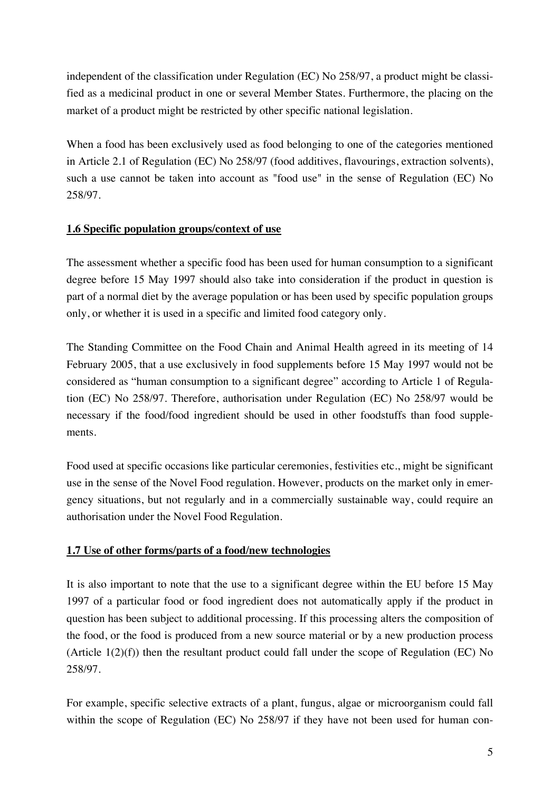independent of the classification under Regulation (EC) No 258/97, a product might be classified as a medicinal product in one or several Member States. Furthermore, the placing on the market of a product might be restricted by other specific national legislation.

When a food has been exclusively used as food belonging to one of the categories mentioned in Article 2.1 of Regulation (EC) No 258/97 (food additives, flavourings, extraction solvents), such a use cannot be taken into account as "food use" in the sense of Regulation (EC) No 258/97.

#### **1.6 Specific population groups/context of use**

The assessment whether a specific food has been used for human consumption to a significant degree before 15 May 1997 should also take into consideration if the product in question is part of a normal diet by the average population or has been used by specific population groups only, or whether it is used in a specific and limited food category only.

The Standing Committee on the Food Chain and Animal Health agreed in its meeting of 14 February 2005, that a use exclusively in food supplements before 15 May 1997 would not be considered as "human consumption to a significant degree" according to Article 1 of Regulation (EC) No 258/97. Therefore, authorisation under Regulation (EC) No 258/97 would be necessary if the food/food ingredient should be used in other foodstuffs than food supplements.

Food used at specific occasions like particular ceremonies, festivities etc., might be significant use in the sense of the Novel Food regulation. However, products on the market only in emergency situations, but not regularly and in a commercially sustainable way, could require an authorisation under the Novel Food Regulation.

#### **1.7 Use of other forms/parts of a food/new technologies**

It is also important to note that the use to a significant degree within the EU before 15 May 1997 of a particular food or food ingredient does not automatically apply if the product in question has been subject to additional processing. If this processing alters the composition of the food, or the food is produced from a new source material or by a new production process (Article 1(2)(f)) then the resultant product could fall under the scope of Regulation (EC) No 258/97.

For example, specific selective extracts of a plant, fungus, algae or microorganism could fall within the scope of Regulation (EC) No 258/97 if they have not been used for human con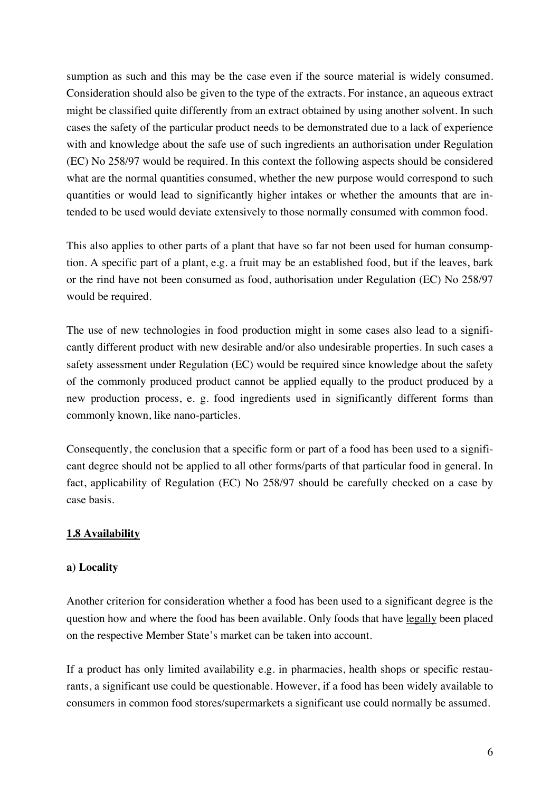sumption as such and this may be the case even if the source material is widely consumed. Consideration should also be given to the type of the extracts. For instance, an aqueous extract might be classified quite differently from an extract obtained by using another solvent. In such cases the safety of the particular product needs to be demonstrated due to a lack of experience with and knowledge about the safe use of such ingredients an authorisation under Regulation (EC) No 258/97 would be required. In this context the following aspects should be considered what are the normal quantities consumed, whether the new purpose would correspond to such quantities or would lead to significantly higher intakes or whether the amounts that are intended to be used would deviate extensively to those normally consumed with common food.

This also applies to other parts of a plant that have so far not been used for human consumption. A specific part of a plant, e.g. a fruit may be an established food, but if the leaves, bark or the rind have not been consumed as food, authorisation under Regulation (EC) No 258/97 would be required.

The use of new technologies in food production might in some cases also lead to a significantly different product with new desirable and/or also undesirable properties. In such cases a safety assessment under Regulation (EC) would be required since knowledge about the safety of the commonly produced product cannot be applied equally to the product produced by a new production process, e. g. food ingredients used in significantly different forms than commonly known, like nano-particles.

Consequently, the conclusion that a specific form or part of a food has been used to a significant degree should not be applied to all other forms/parts of that particular food in general. In fact, applicability of Regulation (EC) No 258/97 should be carefully checked on a case by case basis.

#### **1.8 Availability**

#### **a) Locality**

Another criterion for consideration whether a food has been used to a significant degree is the question how and where the food has been available. Only foods that have legally been placed on the respective Member State's market can be taken into account.

If a product has only limited availability e.g. in pharmacies, health shops or specific restaurants, a significant use could be questionable. However, if a food has been widely available to consumers in common food stores/supermarkets a significant use could normally be assumed.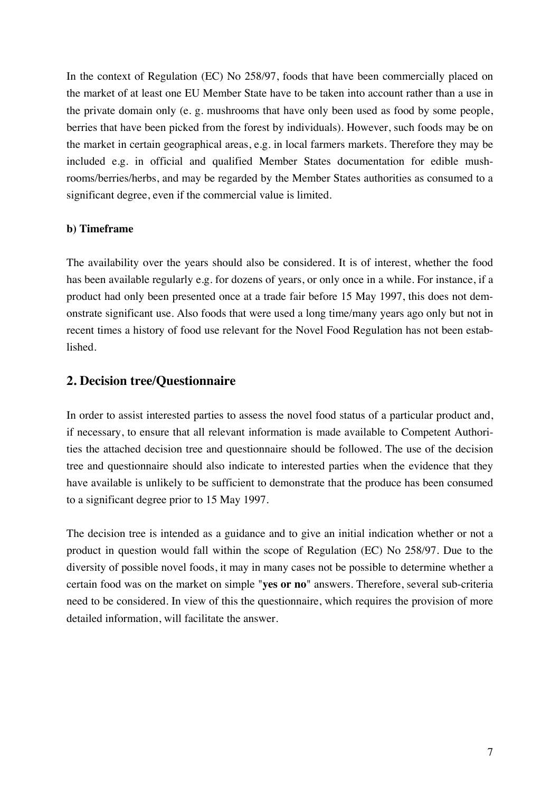In the context of Regulation (EC) No 258/97, foods that have been commercially placed on the market of at least one EU Member State have to be taken into account rather than a use in the private domain only (e. g. mushrooms that have only been used as food by some people, berries that have been picked from the forest by individuals). However, such foods may be on the market in certain geographical areas, e.g. in local farmers markets. Therefore they may be included e.g. in official and qualified Member States documentation for edible mushrooms/berries/herbs, and may be regarded by the Member States authorities as consumed to a significant degree, even if the commercial value is limited.

#### **b) Timeframe**

The availability over the years should also be considered. It is of interest, whether the food has been available regularly e.g. for dozens of years, or only once in a while. For instance, if a product had only been presented once at a trade fair before 15 May 1997, this does not demonstrate significant use. Also foods that were used a long time/many years ago only but not in recent times a history of food use relevant for the Novel Food Regulation has not been established.

#### **2. Decision tree/Questionnaire**

In order to assist interested parties to assess the novel food status of a particular product and, if necessary, to ensure that all relevant information is made available to Competent Authorities the attached decision tree and questionnaire should be followed. The use of the decision tree and questionnaire should also indicate to interested parties when the evidence that they have available is unlikely to be sufficient to demonstrate that the produce has been consumed to a significant degree prior to 15 May 1997.

The decision tree is intended as a guidance and to give an initial indication whether or not a product in question would fall within the scope of Regulation (EC) No 258/97. Due to the diversity of possible novel foods, it may in many cases not be possible to determine whether a certain food was on the market on simple "**yes or no**" answers. Therefore, several sub-criteria need to be considered. In view of this the questionnaire, which requires the provision of more detailed information, will facilitate the answer.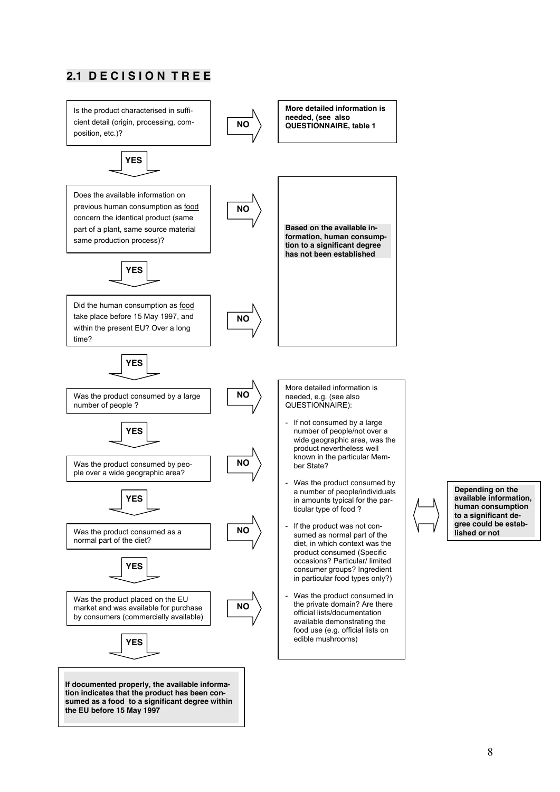

# **2.1 DECISION TREE**

**Depending on the available information, human consumption to a significant degree could be estab-**

**lished or not**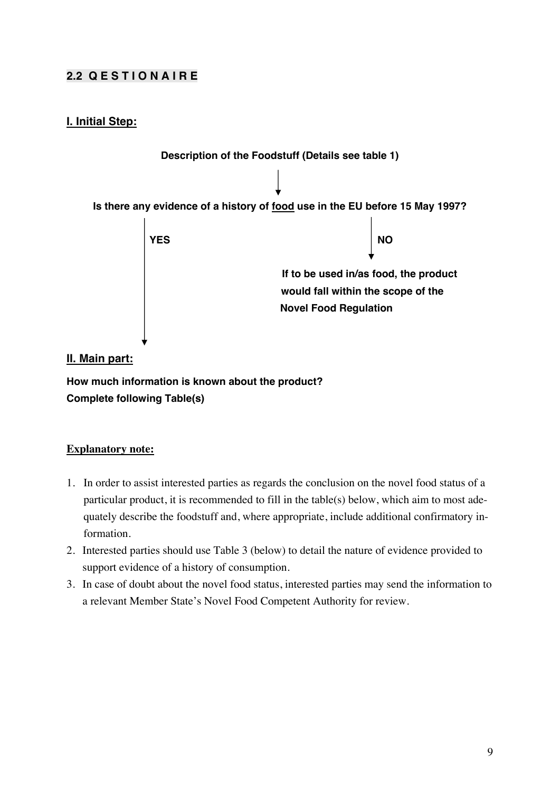### **2.2 Q E S T I O N A I R E**

#### **I. Initial Step:**



#### **II. Main part:**

**How much information is known about the product? Complete following Table(s)** 

#### **Explanatory note:**

- 1. In order to assist interested parties as regards the conclusion on the novel food status of a particular product, it is recommended to fill in the table(s) below, which aim to most adequately describe the foodstuff and, where appropriate, include additional confirmatory information.
- 2. Interested parties should use Table 3 (below) to detail the nature of evidence provided to support evidence of a history of consumption.
- 3. In case of doubt about the novel food status, interested parties may send the information to a relevant Member State's Novel Food Competent Authority for review.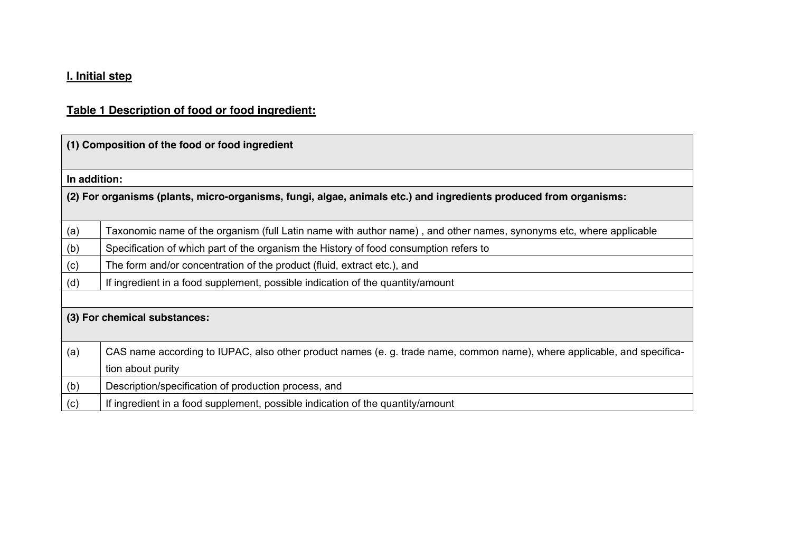### **I. Initial step**

### **Table 1 Description of food or food ingredient:**

| (1) Composition of the food or food ingredient |                                                                                                                         |  |  |  |  |
|------------------------------------------------|-------------------------------------------------------------------------------------------------------------------------|--|--|--|--|
|                                                | In addition:                                                                                                            |  |  |  |  |
|                                                | (2) For organisms (plants, micro-organisms, fungi, algae, animals etc.) and ingredients produced from organisms:        |  |  |  |  |
| (a)                                            | Taxonomic name of the organism (full Latin name with author name), and other names, synonyms etc, where applicable      |  |  |  |  |
| (b)                                            | Specification of which part of the organism the History of food consumption refers to                                   |  |  |  |  |
| (c)                                            | The form and/or concentration of the product (fluid, extract etc.), and                                                 |  |  |  |  |
| (d)                                            | If ingredient in a food supplement, possible indication of the quantity/amount                                          |  |  |  |  |
|                                                |                                                                                                                         |  |  |  |  |
|                                                | (3) For chemical substances:                                                                                            |  |  |  |  |
| (a)                                            | CAS name according to IUPAC, also other product names (e. g. trade name, common name), where applicable, and specifica- |  |  |  |  |
|                                                | tion about purity                                                                                                       |  |  |  |  |
| (b)                                            | Description/specification of production process, and                                                                    |  |  |  |  |
| (c)                                            | If ingredient in a food supplement, possible indication of the quantity/amount                                          |  |  |  |  |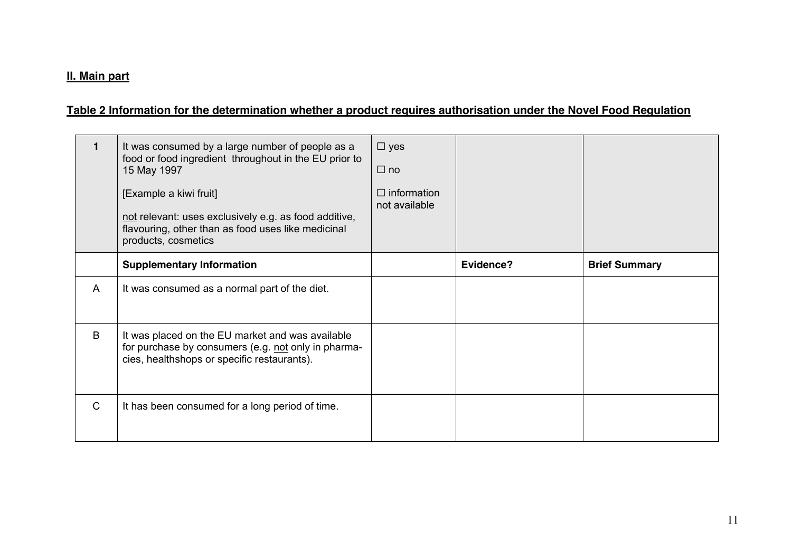#### **II. Main part**

### **Table 2 Information for the determination whether a product requires authorisation under the Novel Food Regulation**

|              | It was consumed by a large number of people as a<br>food or food ingredient throughout in the EU prior to<br>15 May 1997                                     | $\Box$ yes<br>$\Box$ no             |           |                      |
|--------------|--------------------------------------------------------------------------------------------------------------------------------------------------------------|-------------------------------------|-----------|----------------------|
|              | [Example a kiwi fruit]<br>not relevant: uses exclusively e.g. as food additive,<br>flavouring, other than as food uses like medicinal<br>products, cosmetics | $\Box$ information<br>not available |           |                      |
|              | <b>Supplementary Information</b>                                                                                                                             |                                     | Evidence? | <b>Brief Summary</b> |
| A            | It was consumed as a normal part of the diet.                                                                                                                |                                     |           |                      |
| B            | It was placed on the EU market and was available<br>for purchase by consumers (e.g. not only in pharma-<br>cies, healthshops or specific restaurants).       |                                     |           |                      |
| $\mathsf{C}$ | It has been consumed for a long period of time.                                                                                                              |                                     |           |                      |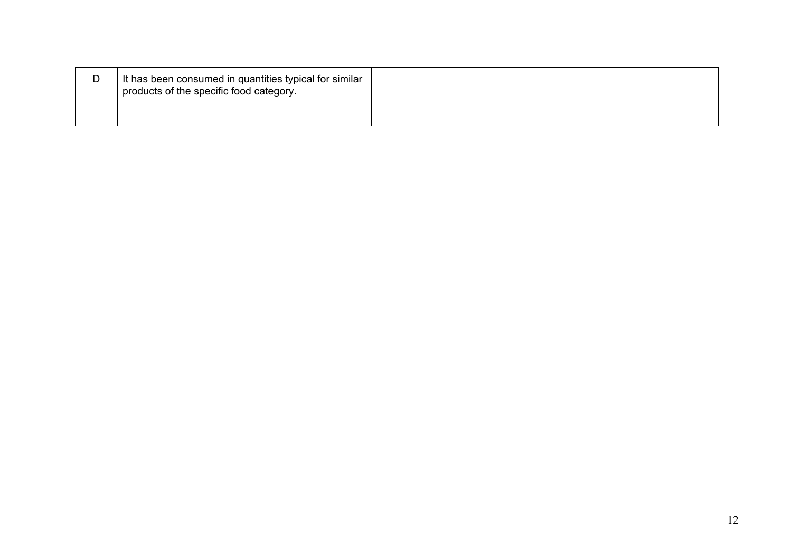| D | It has been consumed in quantities typical for similar<br>products of the specific food category. |  |  |
|---|---------------------------------------------------------------------------------------------------|--|--|
|   |                                                                                                   |  |  |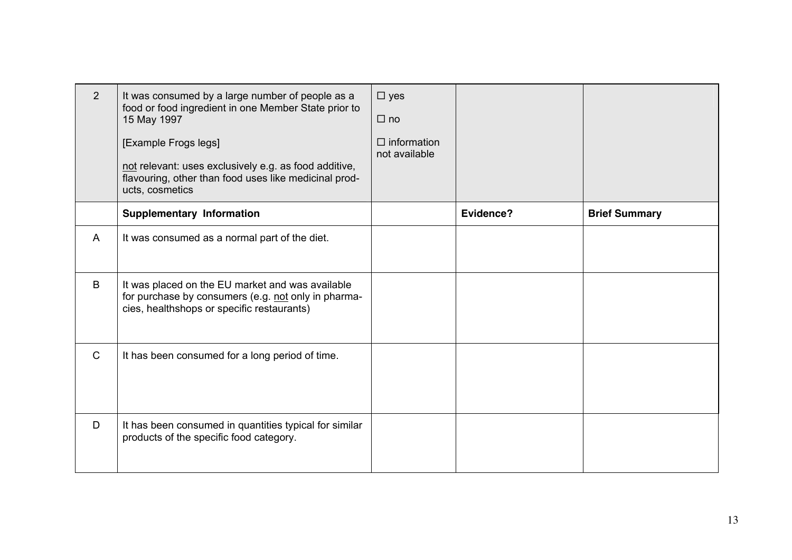| $2^{\circ}$  | It was consumed by a large number of people as a<br>food or food ingredient in one Member State prior to<br>15 May 1997<br>[Example Frogs legs]<br>not relevant: uses exclusively e.g. as food additive,<br>flavouring, other than food uses like medicinal prod-<br>ucts, cosmetics | $\square$ yes<br>$\Box$ no<br>$\Box$ information<br>not available |                  |                      |
|--------------|--------------------------------------------------------------------------------------------------------------------------------------------------------------------------------------------------------------------------------------------------------------------------------------|-------------------------------------------------------------------|------------------|----------------------|
|              | <b>Supplementary Information</b>                                                                                                                                                                                                                                                     |                                                                   | <b>Evidence?</b> | <b>Brief Summary</b> |
| A            | It was consumed as a normal part of the diet.                                                                                                                                                                                                                                        |                                                                   |                  |                      |
| B            | It was placed on the EU market and was available<br>for purchase by consumers (e.g. not only in pharma-<br>cies, healthshops or specific restaurants)                                                                                                                                |                                                                   |                  |                      |
| $\mathsf{C}$ | It has been consumed for a long period of time.                                                                                                                                                                                                                                      |                                                                   |                  |                      |
| D            | It has been consumed in quantities typical for similar<br>products of the specific food category.                                                                                                                                                                                    |                                                                   |                  |                      |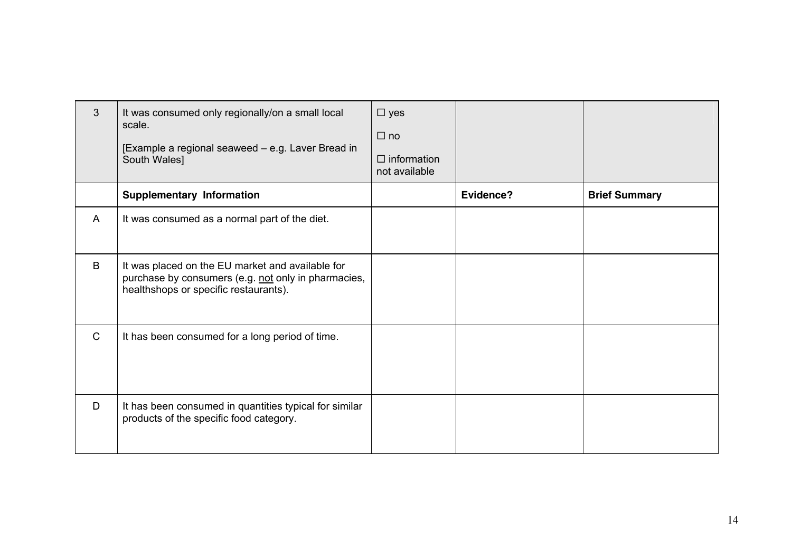| $\mathbf{3}$ | It was consumed only regionally/on a small local<br>scale.<br>[Example a regional seaweed - e.g. Laver Bread in<br>South Wales]                  | $\square$ yes<br>$\Box$ no<br>$\Box$ information<br>not available |           |                      |
|--------------|--------------------------------------------------------------------------------------------------------------------------------------------------|-------------------------------------------------------------------|-----------|----------------------|
|              | <b>Supplementary Information</b>                                                                                                                 |                                                                   | Evidence? | <b>Brief Summary</b> |
| $\mathsf{A}$ | It was consumed as a normal part of the diet.                                                                                                    |                                                                   |           |                      |
| B            | It was placed on the EU market and available for<br>purchase by consumers (e.g. not only in pharmacies,<br>healthshops or specific restaurants). |                                                                   |           |                      |
| $\mathsf{C}$ | It has been consumed for a long period of time.                                                                                                  |                                                                   |           |                      |
| D            | It has been consumed in quantities typical for similar<br>products of the specific food category.                                                |                                                                   |           |                      |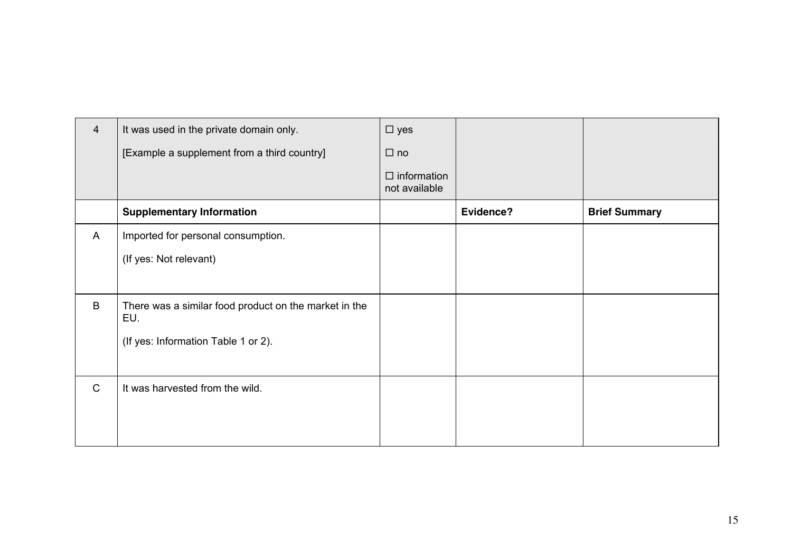| $\overline{4}$ | It was used in the private domain only.                      | $\square$ yes                       |           |                      |
|----------------|--------------------------------------------------------------|-------------------------------------|-----------|----------------------|
|                | [Example a supplement from a third country]                  | $\Box$ no                           |           |                      |
|                |                                                              | $\Box$ information<br>not available |           |                      |
|                | <b>Supplementary Information</b>                             |                                     | Evidence? | <b>Brief Summary</b> |
| A              | Imported for personal consumption.                           |                                     |           |                      |
|                | (If yes: Not relevant)                                       |                                     |           |                      |
|                |                                                              |                                     |           |                      |
| B              | There was a similar food product on the market in the<br>EU. |                                     |           |                      |
|                | (If yes: Information Table 1 or 2).                          |                                     |           |                      |
|                |                                                              |                                     |           |                      |
| $\mathsf{C}$   | It was harvested from the wild.                              |                                     |           |                      |
|                |                                                              |                                     |           |                      |
|                |                                                              |                                     |           |                      |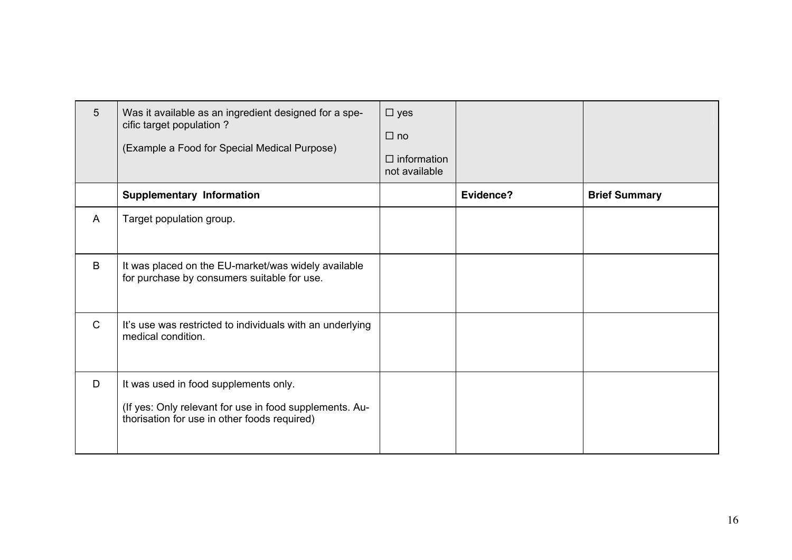| $5\overline{)}$ | Was it available as an ingredient designed for a spe-<br>cific target population?<br>(Example a Food for Special Medical Purpose)                | $\square$ yes<br>$\Box$ no<br>$\Box$ information<br>not available |           |                      |
|-----------------|--------------------------------------------------------------------------------------------------------------------------------------------------|-------------------------------------------------------------------|-----------|----------------------|
|                 | <b>Supplementary Information</b>                                                                                                                 |                                                                   | Evidence? | <b>Brief Summary</b> |
| A               | Target population group.                                                                                                                         |                                                                   |           |                      |
| B               | It was placed on the EU-market/was widely available<br>for purchase by consumers suitable for use.                                               |                                                                   |           |                      |
| $\mathsf{C}$    | It's use was restricted to individuals with an underlying<br>medical condition.                                                                  |                                                                   |           |                      |
| D               | It was used in food supplements only.<br>(If yes: Only relevant for use in food supplements. Au-<br>thorisation for use in other foods required) |                                                                   |           |                      |